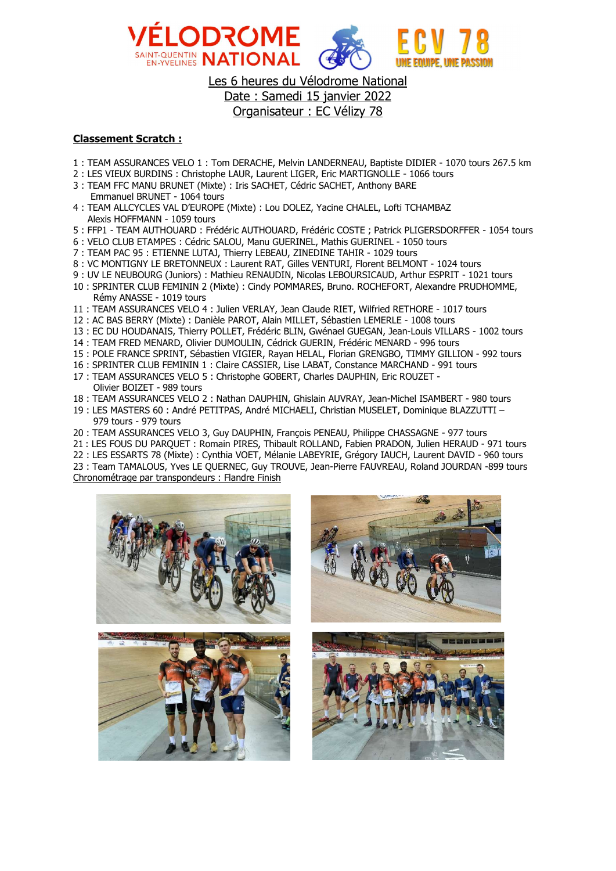

Les 6 heures du Vélodrome National Date : Samedi 15 janvier 2022 Organisateur : EC Vélizy 78

## Classement Scratch :

- 1 : TEAM ASSURANCES VELO 1 : Tom DERACHE, Melvin LANDERNEAU, Baptiste DIDIER 1070 tours 267.5 km
- 2 : LES VIEUX BURDINS : Christophe LAUR, Laurent LIGER, Eric MARTIGNOLLE 1066 tours
- 3 : TEAM FFC MANU BRUNET (Mixte) : Iris SACHET, Cédric SACHET, Anthony BARE Emmanuel BRUNET - 1064 tours
- 4 : TEAM ALLCYCLES VAL D'EUROPE (Mixte) : Lou DOLEZ, Yacine CHALEL, Lofti TCHAMBAZ Alexis HOFFMANN - 1059 tours
- 5 : FFP1 TEAM AUTHOUARD : Frédéric AUTHOUARD, Frédéric COSTE ; Patrick PLIGERSDORFFER 1054 tours
- 6 : VELO CLUB ETAMPES : Cédric SALOU, Manu GUERINEL, Mathis GUERINEL 1050 tours
- 7 : TEAM PAC 95 : ETIENNE LUTAJ, Thierry LEBEAU, ZINEDINE TAHIR 1029 tours
- 8 : VC MONTIGNY LE BRETONNEUX : Laurent RAT, Gilles VENTURI, Florent BELMONT 1024 tours
- 9 : UV LE NEUBOURG (Juniors) : Mathieu RENAUDIN, Nicolas LEBOURSICAUD, Arthur ESPRIT 1021 tours
- 10 : SPRINTER CLUB FEMININ 2 (Mixte) : Cindy POMMARES, Bruno. ROCHEFORT, Alexandre PRUDHOMME, Rémy ANASSE - 1019 tours
- 11 : TEAM ASSURANCES VELO 4 : Julien VERLAY, Jean Claude RIET, Wilfried RETHORE 1017 tours
- 12 : AC BAS BERRY (Mixte) : Danièle PAROT, Alain MILLET, Sébastien LEMERLE 1008 tours
- 13 : EC DU HOUDANAIS, Thierry POLLET, Frédéric BLIN, Gwénael GUEGAN, Jean-Louis VILLARS 1002 tours
- 14 : TEAM FRED MENARD, Olivier DUMOULIN, Cédrick GUERIN, Frédéric MENARD 996 tours
- 15 : POLE FRANCE SPRINT, Sébastien VIGIER, Rayan HELAL, Florian GRENGBO, TIMMY GILLION 992 tours
- 16 : SPRINTER CLUB FEMININ 1 : Claire CASSIER, Lise LABAT, Constance MARCHAND 991 tours
- 17 : TEAM ASSURANCES VELO 5 : Christophe GOBERT, Charles DAUPHIN, Eric ROUZET -
- Olivier BOIZET 989 tours 18 : TEAM ASSURANCES VELO 2 : Nathan DAUPHIN, Ghislain AUVRAY, Jean-Michel ISAMBERT - 980 tours
- 19 : LES MASTERS 60 : André PETITPAS, André MICHAELI, Christian MUSELET, Dominique BLAZZUTTI 979 tours - 979 tours
- 20 : TEAM ASSURANCES VELO 3, Guy DAUPHIN, François PENEAU, Philippe CHASSAGNE 977 tours
- 21 : LES FOUS DU PARQUET : Romain PIRES, Thibault ROLLAND, Fabien PRADON, Julien HERAUD 971 tours
- 22 : LES ESSARTS 78 (Mixte) : Cynthia VOET, Mélanie LABEYRIE, Grégory IAUCH, Laurent DAVID 960 tours

23 : Team TAMALOUS, Yves LE QUERNEC, Guy TROUVE, Jean-Pierre FAUVREAU, Roland JOURDAN -899 tours Chronométrage par transpondeurs : Flandre Finish